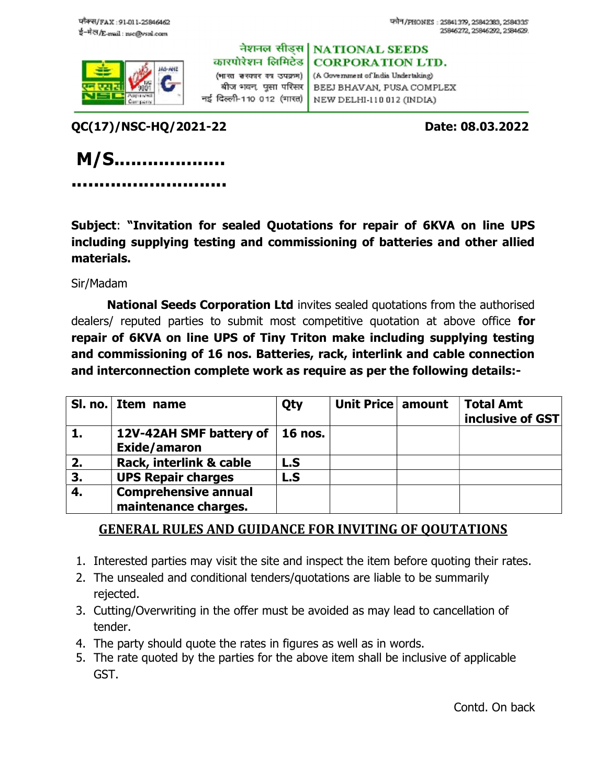

नेशनल सीडस। **NATIONAL SEEDS** कारपोरेशन लिमिटेड **CORPORATION LTD.** (भारत सरकार का उपक्रम) (A Government of India Undertaking) BEEJ BHAVAN, PUSA COMPLEX

बीज भवन, पुसा परिसर | नई दिल्ली-110 012 (मारत) NEW DELHI-110 012 (INDIA)

QC(17)/NSC-HQ/2021-22 Date: 08.03.2022

 M/S.................... ............................

Subject: "Invitation for sealed Quotations for repair of 6KVA on line UPS including supplying testing and commissioning of batteries and other allied materials.

Sir/Madam

National Seeds Corporation Ltd invites sealed quotations from the authorised dealers/ reputed parties to submit most competitive quotation at above office for repair of 6KVA on line UPS of Tiny Triton make including supplying testing and commissioning of 16 nos. Batteries, rack, interlink and cable connection and interconnection complete work as require as per the following details:-

|    | SI. no. Item name                                   | Qty            | Unit Price amount | <b>Total Amt</b><br>inclusive of GST |
|----|-----------------------------------------------------|----------------|-------------------|--------------------------------------|
| 1. | 12V-42AH SMF battery of<br>Exide/amaron             | <b>16 nos.</b> |                   |                                      |
| 2. | Rack, interlink & cable                             | L.S            |                   |                                      |
| 3. | <b>UPS Repair charges</b>                           | L.S            |                   |                                      |
| 4. | <b>Comprehensive annual</b><br>maintenance charges. |                |                   |                                      |

## GENERAL RULES AND GUIDANCE FOR INVITING OF QOUTATIONS

- 1. Interested parties may visit the site and inspect the item before quoting their rates.
- 2. The unsealed and conditional tenders/quotations are liable to be summarily rejected.
- 3. Cutting/Overwriting in the offer must be avoided as may lead to cancellation of tender.
- 4. The party should quote the rates in figures as well as in words.
- 5. The rate quoted by the parties for the above item shall be inclusive of applicable GST.